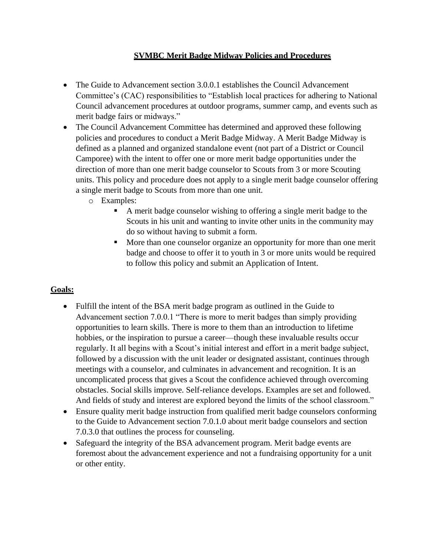### **SVMBC Merit Badge Midway Policies and Procedures**

- The Guide to Advancement section 3.0.0.1 establishes the Council Advancement Committee's (CAC) responsibilities to "Establish local practices for adhering to National Council advancement procedures at outdoor programs, summer camp, and events such as merit badge fairs or midways."
- The Council Advancement Committee has determined and approved these following policies and procedures to conduct a Merit Badge Midway. A Merit Badge Midway is defined as a planned and organized standalone event (not part of a District or Council Camporee) with the intent to offer one or more merit badge opportunities under the direction of more than one merit badge counselor to Scouts from 3 or more Scouting units. This policy and procedure does not apply to a single merit badge counselor offering a single merit badge to Scouts from more than one unit.
	- o Examples:
		- A merit badge counselor wishing to offering a single merit badge to the Scouts in his unit and wanting to invite other units in the community may do so without having to submit a form.
		- More than one counselor organize an opportunity for more than one merit badge and choose to offer it to youth in 3 or more units would be required to follow this policy and submit an Application of Intent.

# **Goals:**

- Fulfill the intent of the BSA merit badge program as outlined in the Guide to Advancement section 7.0.0.1 "There is more to merit badges than simply providing opportunities to learn skills. There is more to them than an introduction to lifetime hobbies, or the inspiration to pursue a career—though these invaluable results occur regularly. It all begins with a Scout's initial interest and effort in a merit badge subject, followed by a discussion with the unit leader or designated assistant, continues through meetings with a counselor, and culminates in advancement and recognition. It is an uncomplicated process that gives a Scout the confidence achieved through overcoming obstacles. Social skills improve. Self-reliance develops. Examples are set and followed. And fields of study and interest are explored beyond the limits of the school classroom."
- Ensure quality merit badge instruction from qualified merit badge counselors conforming to the Guide to Advancement section 7.0.1.0 about merit badge counselors and section 7.0.3.0 that outlines the process for counseling.
- Safeguard the integrity of the BSA advancement program. Merit badge events are foremost about the advancement experience and not a fundraising opportunity for a unit or other entity.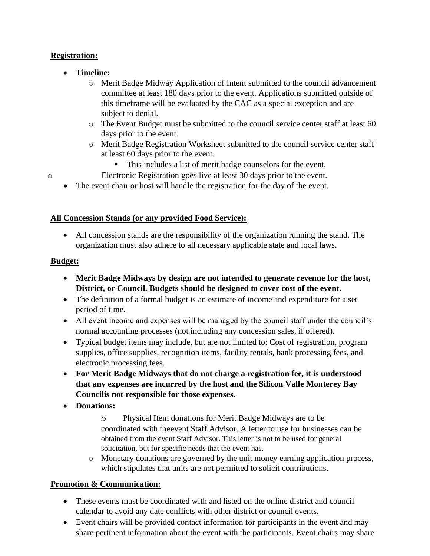## **Registration:**

- **Timeline:**
	- o Merit Badge Midway Application of Intent submitted to the council advancement committee at least 180 days prior to the event. Applications submitted outside of this timeframe will be evaluated by the CAC as a special exception and are subject to denial.
	- $\circ$  The Event Budget must be submitted to the council service center staff at least 60 days prior to the event.
	- o Merit Badge Registration Worksheet submitted to the council service center staff at least 60 days prior to the event.
		- This includes a list of merit badge counselors for the event.
- o Electronic Registration goes live at least 30 days prior to the event.
	- The event chair or host will handle the registration for the day of the event.

## **All Concession Stands (or any provided Food Service):**

• All concession stands are the responsibility of the organization running the stand. The organization must also adhere to all necessary applicable state and local laws.

## **Budget:**

- **Merit Badge Midways by design are not intended to generate revenue for the host, District, or Council. Budgets should be designed to cover cost of the event.**
- The definition of a formal budget is an estimate of income and expenditure for a set period of time.
- All event income and expenses will be managed by the council staff under the council's normal accounting processes (not including any concession sales, if offered).
- Typical budget items may include, but are not limited to: Cost of registration, program supplies, office supplies, recognition items, facility rentals, bank processing fees, and electronic processing fees.
- **For Merit Badge Midways that do not charge a registration fee, it is understood that any expenses are incurred by the host and the Silicon Valle Monterey Bay Councilis not responsible for those expenses.**
- **Donations:**
	- o Physical Item donations for Merit Badge Midways are to be coordinated with theevent Staff Advisor. A letter to use for businesses can be obtained from the event Staff Advisor. This letter is not to be used for general solicitation, but for specific needs that the event has.
	- o Monetary donations are governed by the unit money earning application process, which stipulates that units are not permitted to solicit contributions.

# **Promotion & Communication:**

- These events must be coordinated with and listed on the online district and council calendar to avoid any date conflicts with other district or council events.
- Event chairs will be provided contact information for participants in the event and may share pertinent information about the event with the participants. Event chairs may share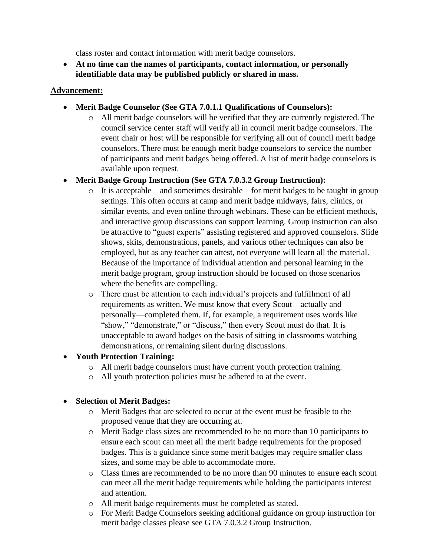class roster and contact information with merit badge counselors.

• **At no time can the names of participants, contact information, or personally identifiable data may be published publicly or shared in mass.**

#### **Advancement:**

- **Merit Badge Counselor (See GTA 7.0.1.1 Qualifications of Counselors):**
	- o All merit badge counselors will be verified that they are currently registered. The council service center staff will verify all in council merit badge counselors. The event chair or host will be responsible for verifying all out of council merit badge counselors. There must be enough merit badge counselors to service the number of participants and merit badges being offered. A list of merit badge counselors is available upon request.
- **Merit Badge Group Instruction (See GTA 7.0.3.2 Group Instruction):**
	- o It is acceptable—and sometimes desirable—for merit badges to be taught in group settings. This often occurs at camp and merit badge midways, fairs, clinics, or similar events, and even online through webinars. These can be efficient methods, and interactive group discussions can support learning. Group instruction can also be attractive to "guest experts" assisting registered and approved counselors. Slide shows, skits, demonstrations, panels, and various other techniques can also be employed, but as any teacher can attest, not everyone will learn all the material. Because of the importance of individual attention and personal learning in the merit badge program, group instruction should be focused on those scenarios where the benefits are compelling.
	- o There must be attention to each individual's projects and fulfillment of all requirements as written. We must know that every Scout—actually and personally—completed them. If, for example, a requirement uses words like "show," "demonstrate," or "discuss," then every Scout must do that. It is unacceptable to award badges on the basis of sitting in classrooms watching demonstrations, or remaining silent during discussions.

#### • **Youth Protection Training:**

- o All merit badge counselors must have current youth protection training.
- o All youth protection policies must be adhered to at the event.

#### • **Selection of Merit Badges:**

- o Merit Badges that are selected to occur at the event must be feasible to the proposed venue that they are occurring at.
- o Merit Badge class sizes are recommended to be no more than 10 participants to ensure each scout can meet all the merit badge requirements for the proposed badges. This is a guidance since some merit badges may require smaller class sizes, and some may be able to accommodate more.
- o Class times are recommended to be no more than 90 minutes to ensure each scout can meet all the merit badge requirements while holding the participants interest and attention.
- o All merit badge requirements must be completed as stated.
- o For Merit Badge Counselors seeking additional guidance on group instruction for merit badge classes please see GTA 7.0.3.2 Group Instruction.